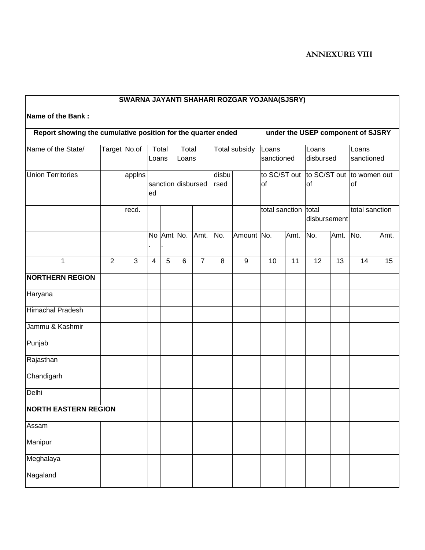## **SWARNA JAYANTI SHAHARI ROZGAR YOJANA(SJSRY) Name of the Bank : Report showing the cumulative position for the quarter ended under the USEP component of SJSRY** Name of the State/ | Target | No.of | Total Loans **Total** Loans Total subsidy Loans sanctioned Loans disbursed Loans sanctioned Union Territories | applns sanction disbursed ed disbu rsed to SC/ST out | to SC/ST out | to women out of of of recd.  $\begin{vmatrix} 1 & 1 \\ 1 & 1 \end{vmatrix}$   $\begin{vmatrix} 1 & 1 \\ 1 & 1 \end{vmatrix}$  total sanction total disbursement total sanction No Amt . . No. Amt. No. Amount No. Amt. No. Amt. No. Amt. 1 2 3 4 5 6 7 8 9 10 11 12 13 14 15 **NORTHERN REGION**  Haryana Himachal Pradesh Jammu & Kashmir Punjab Rajasthan **Chandigarh** Delhi **NORTH EASTERN REGION**  Assam Manipur Meghalaya Nagaland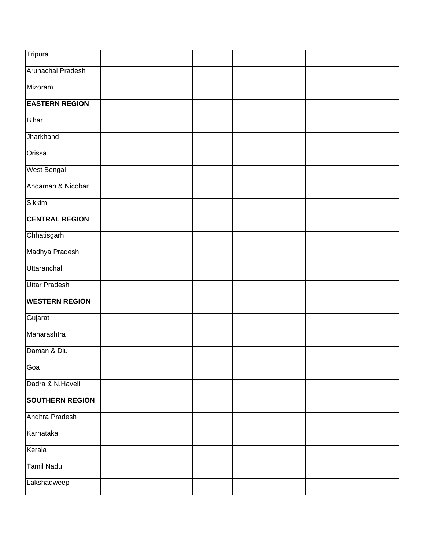| Tripura                  |  |  |  |  |  |  |  |
|--------------------------|--|--|--|--|--|--|--|
| <b>Arunachal Pradesh</b> |  |  |  |  |  |  |  |
| Mizoram                  |  |  |  |  |  |  |  |
| <b>EASTERN REGION</b>    |  |  |  |  |  |  |  |
| <b>Bihar</b>             |  |  |  |  |  |  |  |
| Jharkhand                |  |  |  |  |  |  |  |
| Orissa                   |  |  |  |  |  |  |  |
| <b>West Bengal</b>       |  |  |  |  |  |  |  |
| Andaman & Nicobar        |  |  |  |  |  |  |  |
| <b>Sikkim</b>            |  |  |  |  |  |  |  |
| <b>CENTRAL REGION</b>    |  |  |  |  |  |  |  |
| Chhatisgarh              |  |  |  |  |  |  |  |
| Madhya Pradesh           |  |  |  |  |  |  |  |
| Uttaranchal              |  |  |  |  |  |  |  |
| <b>Uttar Pradesh</b>     |  |  |  |  |  |  |  |
| <b>WESTERN REGION</b>    |  |  |  |  |  |  |  |
| Gujarat                  |  |  |  |  |  |  |  |
| Maharashtra              |  |  |  |  |  |  |  |
| Daman & Diu              |  |  |  |  |  |  |  |
| Goa                      |  |  |  |  |  |  |  |
| Dadra & N.Haveli         |  |  |  |  |  |  |  |
| <b>SOUTHERN REGION</b>   |  |  |  |  |  |  |  |
| Andhra Pradesh           |  |  |  |  |  |  |  |
| Karnataka                |  |  |  |  |  |  |  |
| Kerala                   |  |  |  |  |  |  |  |
| <b>Tamil Nadu</b>        |  |  |  |  |  |  |  |
| Lakshadweep              |  |  |  |  |  |  |  |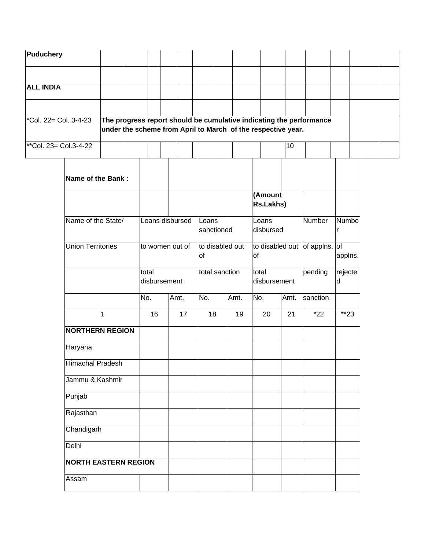| <b>Puduchery</b>                  |                                                                                                                                     |  |  |  |  |  |  |  |  |  |  |  |  |
|-----------------------------------|-------------------------------------------------------------------------------------------------------------------------------------|--|--|--|--|--|--|--|--|--|--|--|--|
|                                   |                                                                                                                                     |  |  |  |  |  |  |  |  |  |  |  |  |
| <b>ALL INDIA</b>                  |                                                                                                                                     |  |  |  |  |  |  |  |  |  |  |  |  |
|                                   |                                                                                                                                     |  |  |  |  |  |  |  |  |  |  |  |  |
| $\sqrt{\cosh 22}$ Col. 3-4-23     | The progress report should be cumulative indicating the performance<br>under the scheme from April to March of the respective year. |  |  |  |  |  |  |  |  |  |  |  |  |
| <sup>**</sup> Col. 23= Col.3-4-22 |                                                                                                                                     |  |  |  |  |  |  |  |  |  |  |  |  |

| Name of the Bank:           |                 |                 |                       |                     |                       |                    |                               |              |
|-----------------------------|-----------------|-----------------|-----------------------|---------------------|-----------------------|--------------------|-------------------------------|--------------|
|                             |                 |                 |                       |                     | (Amount<br>Rs.Lakhs)  |                    |                               |              |
| Name of the State/          |                 | Loans disbursed |                       | Loans<br>sanctioned |                       | Loans<br>disbursed |                               | Numbe<br>r   |
| <b>Union Territories</b>    | to women out of |                 | to disabled out<br>of |                     | of                    |                    | to disabled out of applns. of | applns.      |
|                             | total           | disbursement    |                       | total sanction      | total<br>disbursement |                    | pending                       | rejecte<br>d |
|                             | No.             | Amt.            | No.                   | Amt.                | No.                   | Amt.               | sanction                      |              |
| $\mathbf{1}$                | 16              | 17              | 18                    | 19                  | 20                    | 21                 | $*22$                         | $*23$        |
| <b>NORTHERN REGION</b>      |                 |                 |                       |                     |                       |                    |                               |              |
| Haryana                     |                 |                 |                       |                     |                       |                    |                               |              |
| <b>Himachal Pradesh</b>     |                 |                 |                       |                     |                       |                    |                               |              |
| Jammu & Kashmir             |                 |                 |                       |                     |                       |                    |                               |              |
| Punjab                      |                 |                 |                       |                     |                       |                    |                               |              |
| Rajasthan                   |                 |                 |                       |                     |                       |                    |                               |              |
| Chandigarh                  |                 |                 |                       |                     |                       |                    |                               |              |
| <b>Delhi</b>                |                 |                 |                       |                     |                       |                    |                               |              |
| <b>NORTH EASTERN REGION</b> |                 |                 |                       |                     |                       |                    |                               |              |
| Assam                       |                 |                 |                       |                     |                       |                    |                               |              |
|                             |                 |                 |                       |                     |                       |                    |                               |              |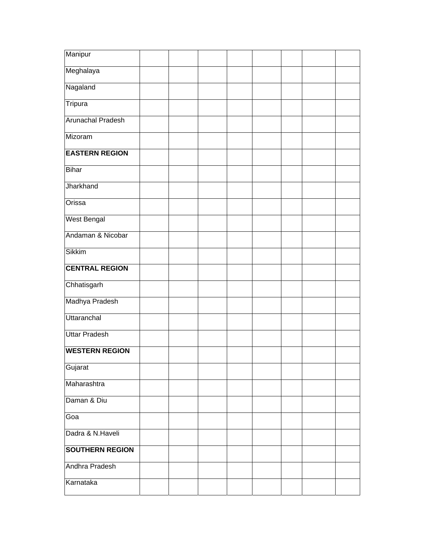| Manipur                  |  |  |  |  |
|--------------------------|--|--|--|--|
| Meghalaya                |  |  |  |  |
| Nagaland                 |  |  |  |  |
| Tripura                  |  |  |  |  |
| <b>Arunachal Pradesh</b> |  |  |  |  |
| Mizoram                  |  |  |  |  |
| <b>EASTERN REGION</b>    |  |  |  |  |
| <b>Bihar</b>             |  |  |  |  |
| Jharkhand                |  |  |  |  |
| Orissa                   |  |  |  |  |
| <b>West Bengal</b>       |  |  |  |  |
| Andaman & Nicobar        |  |  |  |  |
| Sikkim                   |  |  |  |  |
| <b>CENTRAL REGION</b>    |  |  |  |  |
| Chhatisgarh              |  |  |  |  |
| Madhya Pradesh           |  |  |  |  |
| Uttaranchal              |  |  |  |  |
| <b>Uttar Pradesh</b>     |  |  |  |  |
| <b>WESTERN REGION</b>    |  |  |  |  |
| Gujarat                  |  |  |  |  |
| Maharashtra              |  |  |  |  |
| Daman & Diu              |  |  |  |  |
| Goa                      |  |  |  |  |
| Dadra & N.Haveli         |  |  |  |  |
| <b>SOUTHERN REGION</b>   |  |  |  |  |
| Andhra Pradesh           |  |  |  |  |
| Karnataka                |  |  |  |  |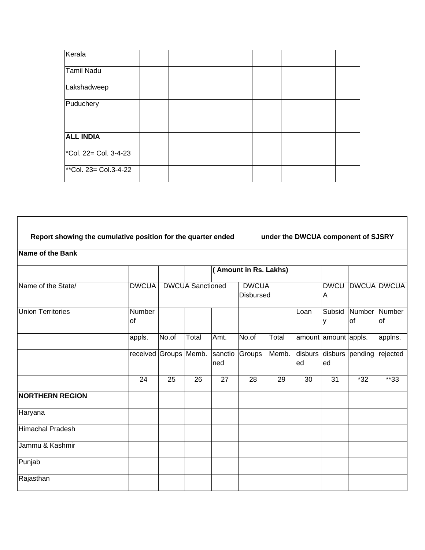| Kerala                                         |  |  |  |  |
|------------------------------------------------|--|--|--|--|
| Tamil Nadu                                     |  |  |  |  |
| Lakshadweep                                    |  |  |  |  |
| Puduchery                                      |  |  |  |  |
|                                                |  |  |  |  |
| <b>ALL INDIA</b>                               |  |  |  |  |
| $\overline{\phantom{a}^*$ Col. 22= Col. 3-4-23 |  |  |  |  |
| **Col. 23= Col.3-4-22                          |  |  |  |  |

## **Report showing the cumulative position for the quarter ended under the DWCUA component of SJSRY**

## **Name of the Bank**

|                          |                       |                         |       |                 | <b>Amount in Rs. Lakhs)</b>      |       |      |                        |              |                    |
|--------------------------|-----------------------|-------------------------|-------|-----------------|----------------------------------|-------|------|------------------------|--------------|--------------------|
| Name of the State/       | <b>DWCUA</b>          | <b>DWCUA Sanctioned</b> |       |                 | <b>DWCUA</b><br><b>Disbursed</b> |       |      | <b>DWCU</b><br>ΙA      |              | <b>DWCUA DWCUA</b> |
| <b>Union Territories</b> | Number<br>lof         |                         |       |                 |                                  |       | Loan | Subsid                 | Number<br>of | Number<br>lof      |
|                          | appls.                | No.of                   | Total | Amt.            | No.of                            | Total |      | amount amount appls.   |              | applns.            |
|                          | received Groups Memb. |                         |       | sanctio<br>Ined | Groups                           | Memb. | ed   | disburs disburs<br>led | pending      | rejected           |
|                          | 24                    | 25                      | 26    | 27              | 28                               | 29    | 30   | 31                     | $*32$        | $*33$              |
| <b>NORTHERN REGION</b>   |                       |                         |       |                 |                                  |       |      |                        |              |                    |
| Haryana                  |                       |                         |       |                 |                                  |       |      |                        |              |                    |
| Himachal Pradesh         |                       |                         |       |                 |                                  |       |      |                        |              |                    |
| Jammu & Kashmir          |                       |                         |       |                 |                                  |       |      |                        |              |                    |
| Punjab                   |                       |                         |       |                 |                                  |       |      |                        |              |                    |
| Rajasthan                |                       |                         |       |                 |                                  |       |      |                        |              |                    |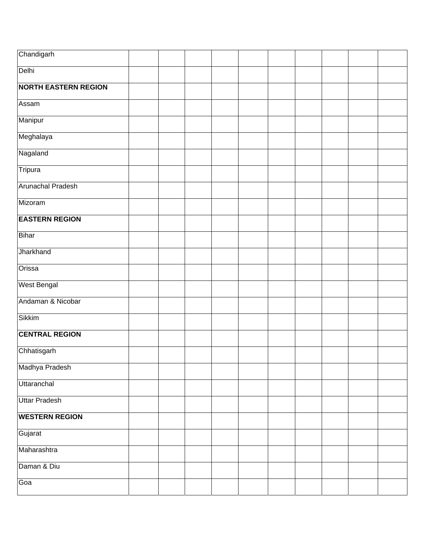| Chandigarh                  |  |  |  |  |  |
|-----------------------------|--|--|--|--|--|
| Delhi                       |  |  |  |  |  |
| <b>NORTH EASTERN REGION</b> |  |  |  |  |  |
| Assam                       |  |  |  |  |  |
| Manipur                     |  |  |  |  |  |
| Meghalaya                   |  |  |  |  |  |
| Nagaland                    |  |  |  |  |  |
| Tripura                     |  |  |  |  |  |
| <b>Arunachal Pradesh</b>    |  |  |  |  |  |
| Mizoram                     |  |  |  |  |  |
| <b>EASTERN REGION</b>       |  |  |  |  |  |
| Bihar                       |  |  |  |  |  |
| Jharkhand                   |  |  |  |  |  |
| Orissa                      |  |  |  |  |  |
| <b>West Bengal</b>          |  |  |  |  |  |
| Andaman & Nicobar           |  |  |  |  |  |
| <b>Sikkim</b>               |  |  |  |  |  |
| <b>CENTRAL REGION</b>       |  |  |  |  |  |
| Chhatisgarh                 |  |  |  |  |  |
| Madhya Pradesh              |  |  |  |  |  |
| Uttaranchal                 |  |  |  |  |  |
| <b>Uttar Pradesh</b>        |  |  |  |  |  |
| <b>WESTERN REGION</b>       |  |  |  |  |  |
| Gujarat                     |  |  |  |  |  |
| Maharashtra                 |  |  |  |  |  |
| Daman & Diu                 |  |  |  |  |  |
| Goa                         |  |  |  |  |  |